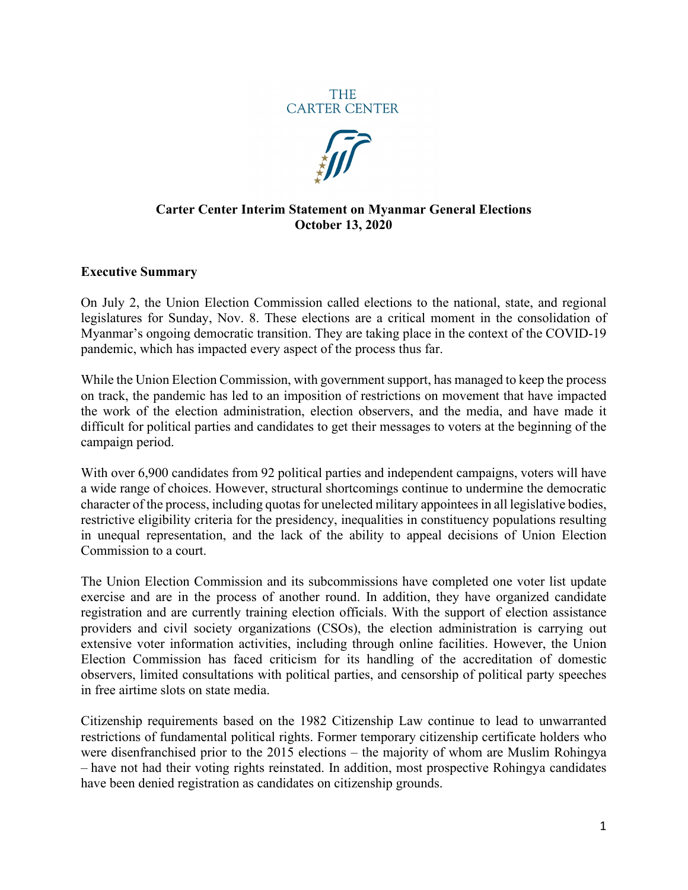



#### **Carter Center Interim Statement on Myanmar General Elections October 13, 2020**

#### **Executive Summary**

On July 2, the Union Election Commission called elections to the national, state, and regional legislatures for Sunday, Nov. 8. These elections are a critical moment in the consolidation of Myanmar's ongoing democratic transition. They are taking place in the context of the COVID-19 pandemic, which has impacted every aspect of the process thus far.

While the Union Election Commission, with government support, has managed to keep the process on track, the pandemic has led to an imposition of restrictions on movement that have impacted the work of the election administration, election observers, and the media, and have made it difficult for political parties and candidates to get their messages to voters at the beginning of the campaign period.

With over 6,900 candidates from 92 political parties and independent campaigns, voters will have a wide range of choices. However, structural shortcomings continue to undermine the democratic character of the process, including quotas for unelected military appointees in all legislative bodies, restrictive eligibility criteria for the presidency, inequalities in constituency populations resulting in unequal representation, and the lack of the ability to appeal decisions of Union Election Commission to a court.

The Union Election Commission and its subcommissions have completed one voter list update exercise and are in the process of another round. In addition, they have organized candidate registration and are currently training election officials. With the support of election assistance providers and civil society organizations (CSOs), the election administration is carrying out extensive voter information activities, including through online facilities. However, the Union Election Commission has faced criticism for its handling of the accreditation of domestic observers, limited consultations with political parties, and censorship of political party speeches in free airtime slots on state media.

Citizenship requirements based on the 1982 Citizenship Law continue to lead to unwarranted restrictions of fundamental political rights. Former temporary citizenship certificate holders who were disenfranchised prior to the 2015 elections – the majority of whom are Muslim Rohingya – have not had their voting rights reinstated. In addition, most prospective Rohingya candidates have been denied registration as candidates on citizenship grounds.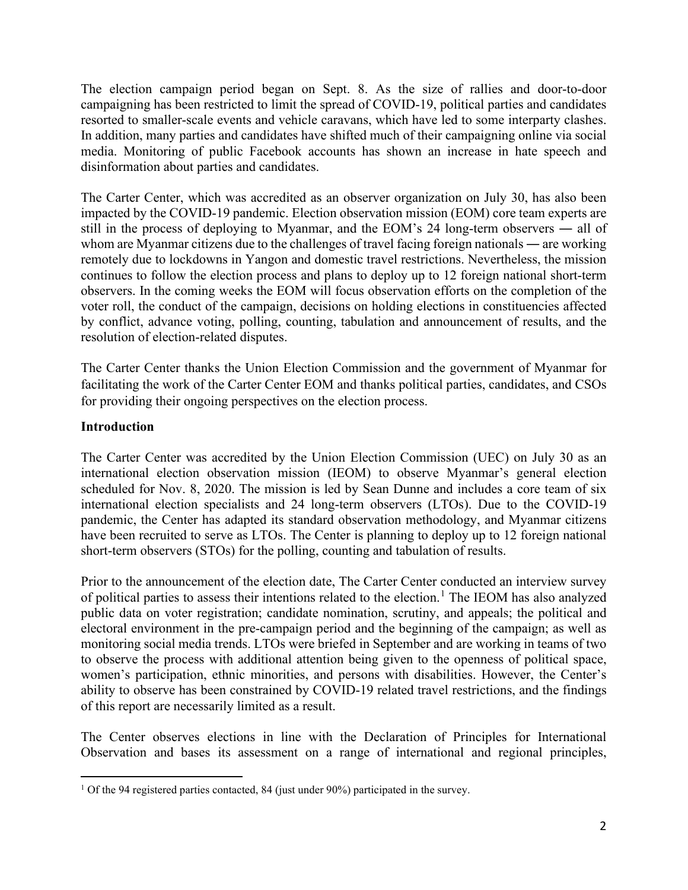The election campaign period began on Sept. 8. As the size of rallies and door-to-door campaigning has been restricted to limit the spread of COVID-19, political parties and candidates resorted to smaller-scale events and vehicle caravans, which have led to some interparty clashes. In addition, many parties and candidates have shifted much of their campaigning online via social media. Monitoring of public Facebook accounts has shown an increase in hate speech and disinformation about parties and candidates.

The Carter Center, which was accredited as an observer organization on July 30, has also been impacted by the COVID-19 pandemic. Election observation mission (EOM) core team experts are still in the process of deploying to Myanmar, and the EOM's 24 long-term observers ― all of whom are Myanmar citizens due to the challenges of travel facing foreign nationals — are working remotely due to lockdowns in Yangon and domestic travel restrictions. Nevertheless, the mission continues to follow the election process and plans to deploy up to 12 foreign national short-term observers. In the coming weeks the EOM will focus observation efforts on the completion of the voter roll, the conduct of the campaign, decisions on holding elections in constituencies affected by conflict, advance voting, polling, counting, tabulation and announcement of results, and the resolution of election-related disputes.

The Carter Center thanks the Union Election Commission and the government of Myanmar for facilitating the work of the Carter Center EOM and thanks political parties, candidates, and CSOs for providing their ongoing perspectives on the election process.

# **Introduction**

The Carter Center was accredited by the Union Election Commission (UEC) on July 30 as an international election observation mission (IEOM) to observe Myanmar's general election scheduled for Nov. 8, 2020. The mission is led by Sean Dunne and includes a core team of six international election specialists and 24 long-term observers (LTOs). Due to the COVID-19 pandemic, the Center has adapted its standard observation methodology, and Myanmar citizens have been recruited to serve as LTOs. The Center is planning to deploy up to 12 foreign national short-term observers (STOs) for the polling, counting and tabulation of results.

Prior to the announcement of the election date, The Carter Center conducted an interview survey of political parties to assess their intentions related to the election.<sup>[1](#page-1-0)</sup> The IEOM has also analyzed public data on voter registration; candidate nomination, scrutiny, and appeals; the political and electoral environment in the pre-campaign period and the beginning of the campaign; as well as monitoring social media trends. LTOs were briefed in September and are working in teams of two to observe the process with additional attention being given to the openness of political space, women's participation, ethnic minorities, and persons with disabilities. However, the Center's ability to observe has been constrained by COVID-19 related travel restrictions, and the findings of this report are necessarily limited as a result.

The Center observes elections in line with the Declaration of Principles for International Observation and bases its assessment on a range of international and regional principles,

<span id="page-1-0"></span><sup>&</sup>lt;sup>1</sup> Of the 94 registered parties contacted, 84 (just under 90%) participated in the survey.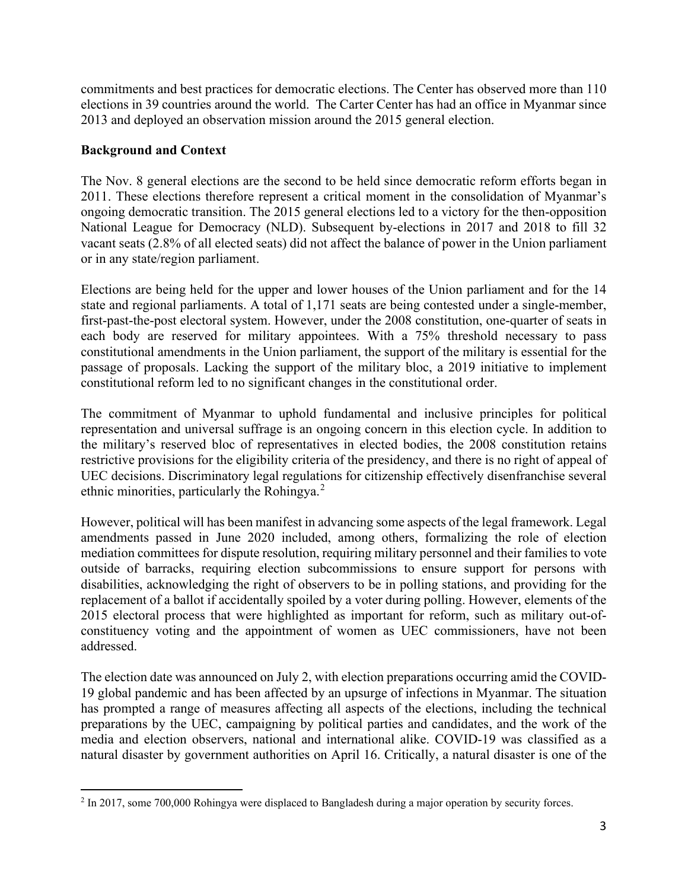commitments and best practices for democratic elections. The Center has observed more than 110 elections in 39 countries around the world. The Carter Center has had an office in Myanmar since 2013 and deployed an observation mission around the 2015 general election.

### **Background and Context**

The Nov. 8 general elections are the second to be held since democratic reform efforts began in 2011. These elections therefore represent a critical moment in the consolidation of Myanmar's ongoing democratic transition. The 2015 general elections led to a victory for the then-opposition National League for Democracy (NLD). Subsequent by-elections in 2017 and 2018 to fill 32 vacant seats (2.8% of all elected seats) did not affect the balance of power in the Union parliament or in any state/region parliament.

Elections are being held for the upper and lower houses of the Union parliament and for the 14 state and regional parliaments. A total of 1,171 seats are being contested under a single-member, first-past-the-post electoral system. However, under the 2008 constitution, one-quarter of seats in each body are reserved for military appointees. With a 75% threshold necessary to pass constitutional amendments in the Union parliament, the support of the military is essential for the passage of proposals. Lacking the support of the military bloc, a 2019 initiative to implement constitutional reform led to no significant changes in the constitutional order.

The commitment of Myanmar to uphold fundamental and inclusive principles for political representation and universal suffrage is an ongoing concern in this election cycle. In addition to the military's reserved bloc of representatives in elected bodies, the 2008 constitution retains restrictive provisions for the eligibility criteria of the presidency, and there is no right of appeal of UEC decisions. Discriminatory legal regulations for citizenship effectively disenfranchise several ethnic minorities, particularly the Rohingya.<sup>[2](#page-2-0)</sup>

However, political will has been manifest in advancing some aspects of the legal framework. Legal amendments passed in June 2020 included, among others, formalizing the role of election mediation committees for dispute resolution, requiring military personnel and their families to vote outside of barracks, requiring election subcommissions to ensure support for persons with disabilities, acknowledging the right of observers to be in polling stations, and providing for the replacement of a ballot if accidentally spoiled by a voter during polling. However, elements of the 2015 electoral process that were highlighted as important for reform, such as military out-ofconstituency voting and the appointment of women as UEC commissioners, have not been addressed.

The election date was announced on July 2, with election preparations occurring amid the COVID-19 global pandemic and has been affected by an upsurge of infections in Myanmar. The situation has prompted a range of measures affecting all aspects of the elections, including the technical preparations by the UEC, campaigning by political parties and candidates, and the work of the media and election observers, national and international alike. COVID-19 was classified as a natural disaster by government authorities on April 16. Critically, a natural disaster is one of the

<span id="page-2-0"></span><sup>&</sup>lt;sup>2</sup> In 2017, some 700,000 Rohingya were displaced to Bangladesh during a major operation by security forces.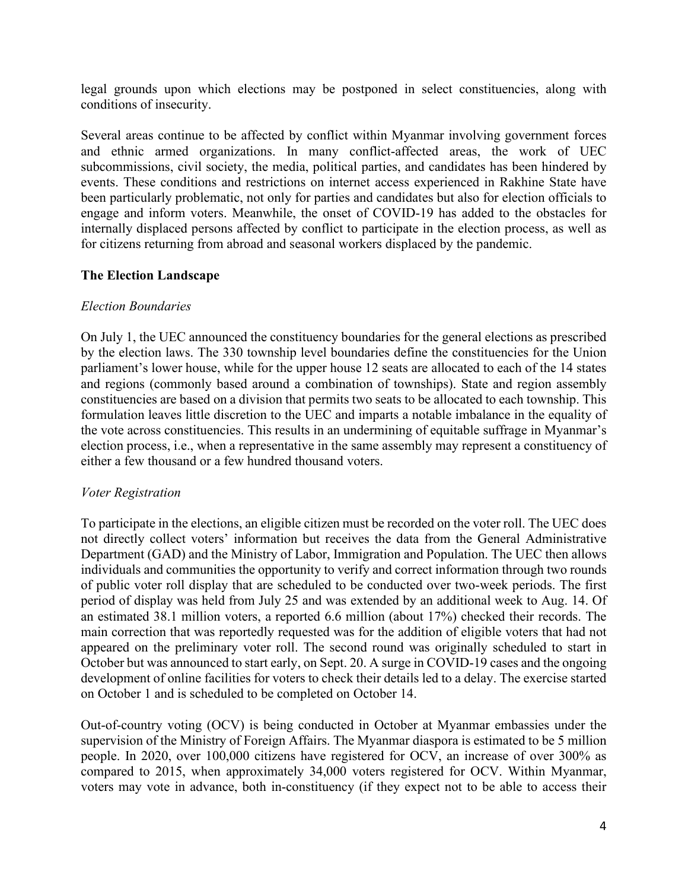legal grounds upon which elections may be postponed in select constituencies, along with conditions of insecurity.

Several areas continue to be affected by conflict within Myanmar involving government forces and ethnic armed organizations. In many conflict-affected areas, the work of UEC subcommissions, civil society, the media, political parties, and candidates has been hindered by events. These conditions and restrictions on internet access experienced in Rakhine State have been particularly problematic, not only for parties and candidates but also for election officials to engage and inform voters. Meanwhile, the onset of COVID-19 has added to the obstacles for internally displaced persons affected by conflict to participate in the election process, as well as for citizens returning from abroad and seasonal workers displaced by the pandemic.

### **The Election Landscape**

### *Election Boundaries*

On July 1, the UEC announced the constituency boundaries for the general elections as prescribed by the election laws. The 330 township level boundaries define the constituencies for the Union parliament's lower house, while for the upper house 12 seats are allocated to each of the 14 states and regions (commonly based around a combination of townships). State and region assembly constituencies are based on a division that permits two seats to be allocated to each township. This formulation leaves little discretion to the UEC and imparts a notable imbalance in the equality of the vote across constituencies. This results in an undermining of equitable suffrage in Myanmar's election process, i.e., when a representative in the same assembly may represent a constituency of either a few thousand or a few hundred thousand voters.

#### *Voter Registration*

To participate in the elections, an eligible citizen must be recorded on the voter roll. The UEC does not directly collect voters' information but receives the data from the General Administrative Department (GAD) and the Ministry of Labor, Immigration and Population. The UEC then allows individuals and communities the opportunity to verify and correct information through two rounds of public voter roll display that are scheduled to be conducted over two-week periods. The first period of display was held from July 25 and was extended by an additional week to Aug. 14. Of an estimated 38.1 million voters, a reported 6.6 million (about 17%) checked their records. The main correction that was reportedly requested was for the addition of eligible voters that had not appeared on the preliminary voter roll. The second round was originally scheduled to start in October but was announced to start early, on Sept. 20. A surge in COVID-19 cases and the ongoing development of online facilities for voters to check their details led to a delay. The exercise started on October 1 and is scheduled to be completed on October 14.

Out-of-country voting (OCV) is being conducted in October at Myanmar embassies under the supervision of the Ministry of Foreign Affairs. The Myanmar diaspora is estimated to be 5 million people. In 2020, over 100,000 citizens have registered for OCV, an increase of over 300% as compared to 2015, when approximately 34,000 voters registered for OCV. Within Myanmar, voters may vote in advance, both in-constituency (if they expect not to be able to access their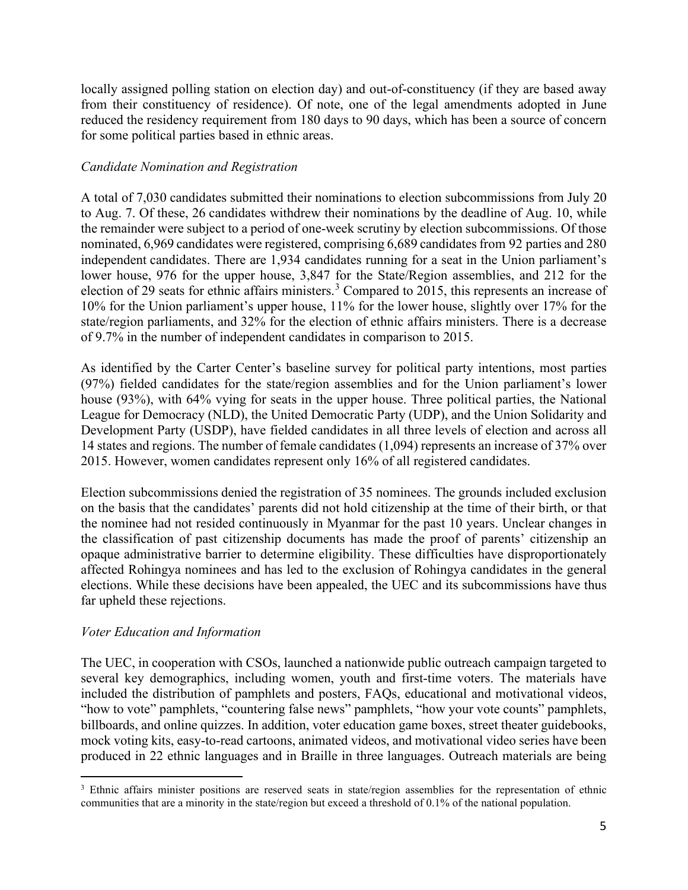locally assigned polling station on election day) and out-of-constituency (if they are based away from their constituency of residence). Of note, one of the legal amendments adopted in June reduced the residency requirement from 180 days to 90 days, which has been a source of concern for some political parties based in ethnic areas.

## *Candidate Nomination and Registration*

A total of 7,030 candidates submitted their nominations to election subcommissions from July 20 to Aug. 7. Of these, 26 candidates withdrew their nominations by the deadline of Aug. 10, while the remainder were subject to a period of one-week scrutiny by election subcommissions. Of those nominated, 6,969 candidates were registered, comprising 6,689 candidates from 92 parties and 280 independent candidates. There are 1,934 candidates running for a seat in the Union parliament's lower house, 976 for the upper house, 3,847 for the State/Region assemblies, and 212 for the election of 29 seats for ethnic affairs ministers.<sup>[3](#page-4-0)</sup> Compared to 2015, this represents an increase of 10% for the Union parliament's upper house, 11% for the lower house, slightly over 17% for the state/region parliaments, and 32% for the election of ethnic affairs ministers. There is a decrease of 9.7% in the number of independent candidates in comparison to 2015.

As identified by the Carter Center's baseline survey for political party intentions, most parties (97%) fielded candidates for the state/region assemblies and for the Union parliament's lower house (93%), with 64% vying for seats in the upper house. Three political parties, the National League for Democracy (NLD), the United Democratic Party (UDP), and the Union Solidarity and Development Party (USDP), have fielded candidates in all three levels of election and across all 14 states and regions. The number of female candidates (1,094) represents an increase of 37% over 2015. However, women candidates represent only 16% of all registered candidates.

Election subcommissions denied the registration of 35 nominees. The grounds included exclusion on the basis that the candidates' parents did not hold citizenship at the time of their birth, or that the nominee had not resided continuously in Myanmar for the past 10 years. Unclear changes in the classification of past citizenship documents has made the proof of parents' citizenship an opaque administrative barrier to determine eligibility. These difficulties have disproportionately affected Rohingya nominees and has led to the exclusion of Rohingya candidates in the general elections. While these decisions have been appealed, the UEC and its subcommissions have thus far upheld these rejections.

## *Voter Education and Information*

The UEC, in cooperation with CSOs, launched a nationwide public outreach campaign targeted to several key demographics, including women, youth and first-time voters. The materials have included the distribution of pamphlets and posters, FAQs, educational and motivational videos, "how to vote" pamphlets, "countering false news" pamphlets, "how your vote counts" pamphlets, billboards, and online quizzes. In addition, voter education game boxes, street theater guidebooks, mock voting kits, easy-to-read cartoons, animated videos, and motivational video series have been produced in 22 ethnic languages and in Braille in three languages. Outreach materials are being

<span id="page-4-0"></span><sup>&</sup>lt;sup>3</sup> Ethnic affairs minister positions are reserved seats in state/region assemblies for the representation of ethnic communities that are a minority in the state/region but exceed a threshold of 0.1% of the national population.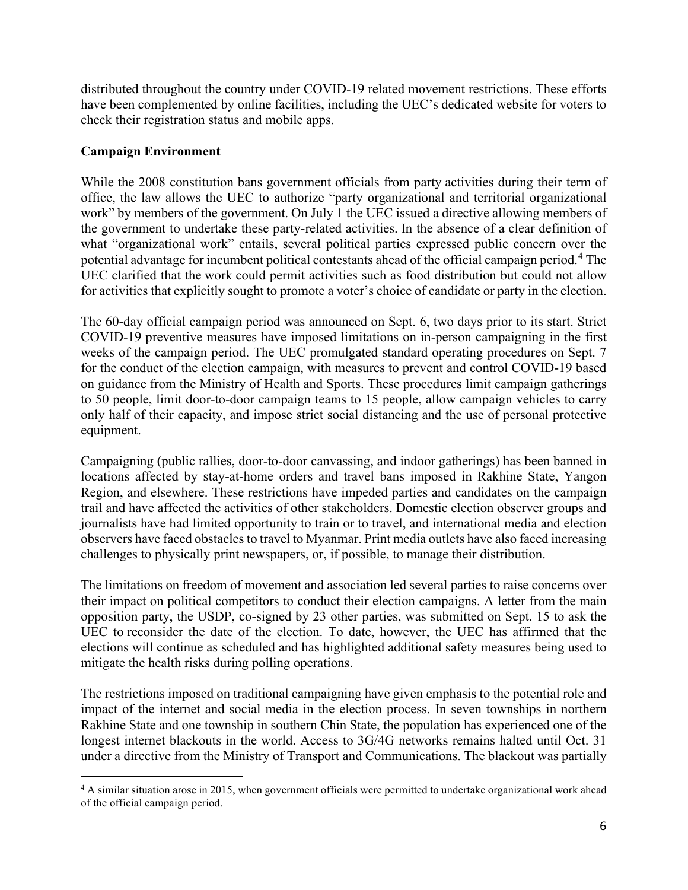distributed throughout the country under COVID-19 related movement restrictions. These efforts have been complemented by online facilities, including the UEC's dedicated website for voters to check their registration status and mobile apps.

## **Campaign Environment**

While the 2008 constitution bans government officials from party activities during their term of office, the law allows the UEC to authorize "party organizational and territorial organizational work" by members of the government. On July 1 the UEC issued a directive allowing members of the government to undertake these party-related activities. In the absence of a clear definition of what "organizational work" entails, several political parties expressed public concern over the potential advantage for incumbent political contestants ahead of the official campaign period. [4](#page-5-0) The UEC clarified that the work could permit activities such as food distribution but could not allow for activities that explicitly sought to promote a voter's choice of candidate or party in the election.

The 60-day official campaign period was announced on Sept. 6, two days prior to its start. Strict COVID-19 preventive measures have imposed limitations on in-person campaigning in the first weeks of the campaign period. The UEC promulgated standard operating procedures on Sept. 7 for the conduct of the election campaign, with measures to prevent and control COVID-19 based on guidance from the Ministry of Health and Sports. These procedures limit campaign gatherings to 50 people, limit door-to-door campaign teams to 15 people, allow campaign vehicles to carry only half of their capacity, and impose strict social distancing and the use of personal protective equipment.

Campaigning (public rallies, door-to-door canvassing, and indoor gatherings) has been banned in locations affected by stay-at-home orders and travel bans imposed in Rakhine State, Yangon Region, and elsewhere. These restrictions have impeded parties and candidates on the campaign trail and have affected the activities of other stakeholders. Domestic election observer groups and journalists have had limited opportunity to train or to travel, and international media and election observers have faced obstacles to travel to Myanmar. Print media outlets have also faced increasing challenges to physically print newspapers, or, if possible, to manage their distribution.

The limitations on freedom of movement and association led several parties to raise concerns over their impact on political competitors to conduct their election campaigns. A letter from the main opposition party, the USDP, co-signed by 23 other parties, was submitted on Sept. 15 to ask the UEC to reconsider the date of the election. To date, however, the UEC has affirmed that the elections will continue as scheduled and has highlighted additional safety measures being used to mitigate the health risks during polling operations.

The restrictions imposed on traditional campaigning have given emphasis to the potential role and impact of the internet and social media in the election process. In seven townships in northern Rakhine State and one township in southern Chin State, the population has experienced one of the longest internet blackouts in the world. Access to 3G/4G networks remains halted until Oct. 31 under a directive from the Ministry of Transport and Communications. The blackout was partially

<span id="page-5-0"></span><sup>&</sup>lt;sup>4</sup> A similar situation arose in 2015, when government officials were permitted to undertake organizational work ahead of the official campaign period.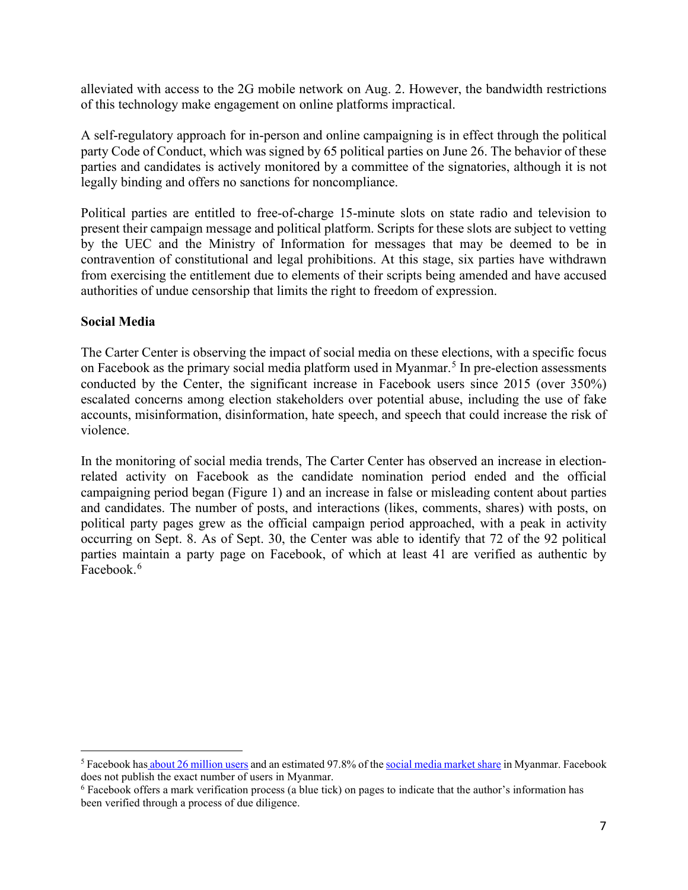alleviated with access to the 2G mobile network on Aug. 2. However, the bandwidth restrictions of this technology make engagement on online platforms impractical.

A self-regulatory approach for in-person and online campaigning is in effect through the political party Code of Conduct, which was signed by 65 political parties on June 26. The behavior of these parties and candidates is actively monitored by a committee of the signatories, although it is not legally binding and offers no sanctions for noncompliance.

Political parties are entitled to free-of-charge 15-minute slots on state radio and television to present their campaign message and political platform. Scripts for these slots are subject to vetting by the UEC and the Ministry of Information for messages that may be deemed to be in contravention of constitutional and legal prohibitions. At this stage, six parties have withdrawn from exercising the entitlement due to elements of their scripts being amended and have accused authorities of undue censorship that limits the right to freedom of expression.

### **Social Media**

The Carter Center is observing the impact of social media on these elections, with a specific focus on Facebook as the primary social media platform used in Myanmar.<sup>[5](#page-6-0)</sup> In pre-election assessments conducted by the Center, the significant increase in Facebook users since 2015 (over 350%) escalated concerns among election stakeholders over potential abuse, including the use of fake accounts, misinformation, disinformation, hate speech, and speech that could increase the risk of violence.

In the monitoring of social media trends, The Carter Center has observed an increase in electionrelated activity on Facebook as the candidate nomination period ended and the official campaigning period began (Figure 1) and an increase in false or misleading content about parties and candidates. The number of posts, and interactions (likes, comments, shares) with posts, on political party pages grew as the official campaign period approached, with a peak in activity occurring on Sept. 8. As of Sept. 30, the Center was able to identify that 72 of the 92 political parties maintain a party page on Facebook, of which at least 41 are verified as authentic by Facebook. [6](#page-6-1)

<span id="page-6-0"></span><sup>&</sup>lt;sup>5</sup> Facebook has [about 26 million users](about:blank) and an estimated 97.8% of th[e social media market share](about:blank) in Myanmar. Facebook does not publish the exact number of users in Myanmar.

<span id="page-6-1"></span><sup>6</sup> Facebook offers a mark verification process (a blue tick) on pages to indicate that the author's information has been verified through a process of due diligence.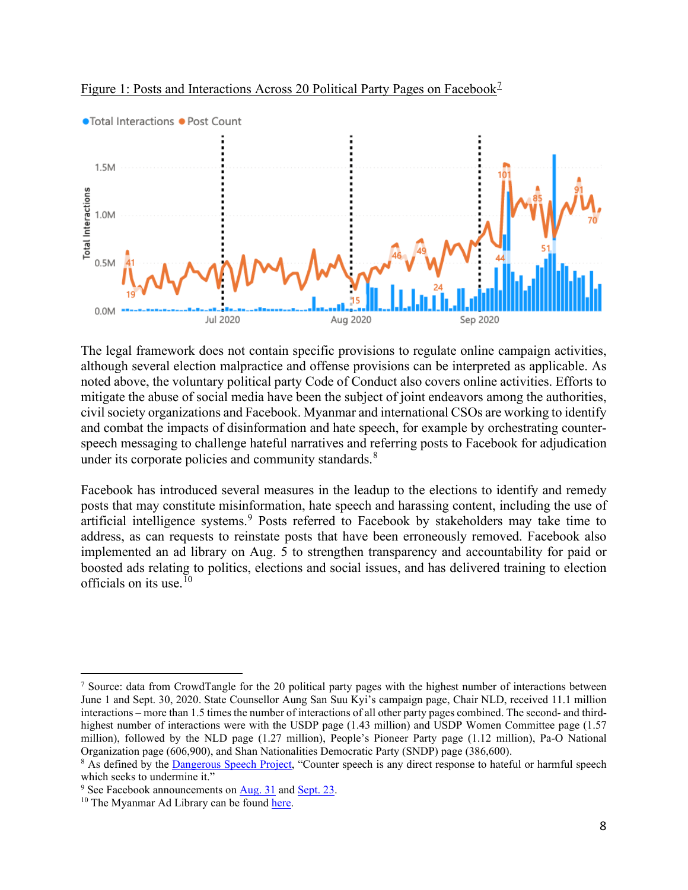



The legal framework does not contain specific provisions to regulate online campaign activities, although several election malpractice and offense provisions can be interpreted as applicable. As noted above, the voluntary political party Code of Conduct also covers online activities. Efforts to mitigate the abuse of social media have been the subject of joint endeavors among the authorities, civil society organizations and Facebook. Myanmar and international CSOs are working to identify and combat the impacts of disinformation and hate speech, for example by orchestrating counterspeech messaging to challenge hateful narratives and referring posts to Facebook for adjudication under its corporate policies and community standards. ${}^{8}$  ${}^{8}$  ${}^{8}$ 

Facebook has introduced several measures in the leadup to the elections to identify and remedy posts that may constitute misinformation, hate speech and harassing content, including the use of artificial intelligence systems.<sup>[9](#page-7-2)</sup> Posts referred to Facebook by stakeholders may take time to address, as can requests to reinstate posts that have been erroneously removed. Facebook also implemented an ad library on Aug. 5 to strengthen transparency and accountability for paid or boosted ads relating to politics, elections and social issues, and has delivered training to election officials on its use. [10](#page-7-3)

<span id="page-7-0"></span><sup>7</sup> Source: data from CrowdTangle for the 20 political party pages with the highest number of interactions between June 1 and Sept. 30, 2020. State Counsellor Aung San Suu Kyi's campaign page, Chair NLD, received 11.1 million interactions – more than 1.5 times the number of interactions of all other party pages combined. The second- and thirdhighest number of interactions were with the USDP page (1.43 million) and USDP Women Committee page (1.57 million), followed by the NLD page (1.27 million), People's Pioneer Party page (1.12 million), Pa-O National Organization page (606,900), and Shan Nationalities Democratic Party (SNDP) page (386,600).

<span id="page-7-1"></span><sup>&</sup>lt;sup>8</sup> As defined by the [Dangerous Speech Project,](about:blank) "Counter speech is any direct response to hateful or harmful speech which seeks to undermine it."

<span id="page-7-3"></span><span id="page-7-2"></span><sup>&</sup>lt;sup>9</sup> See Facebook announcements on  $\frac{\text{Aug. 31}}{10}$  and [Sept. 23.](about:blank) <sup>10</sup> The Myanmar Ad Library can be found [here.](about:blank)